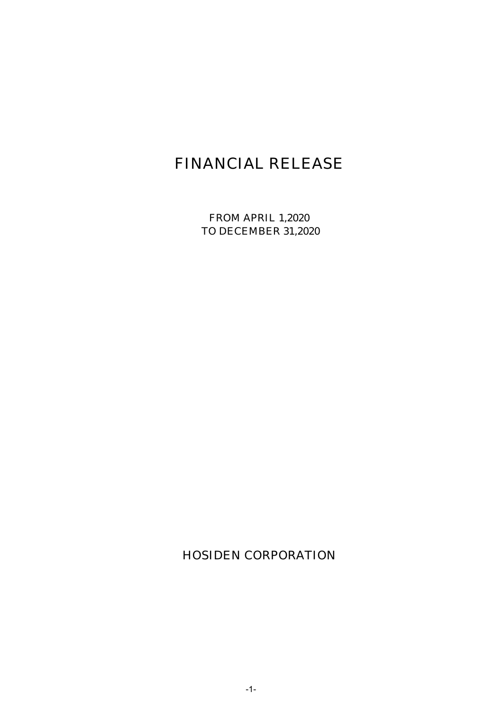# FINANCIAL RELEASE

FROM APRIL 1,2020 TO DECEMBER 31,2020

HOSIDEN CORPORATION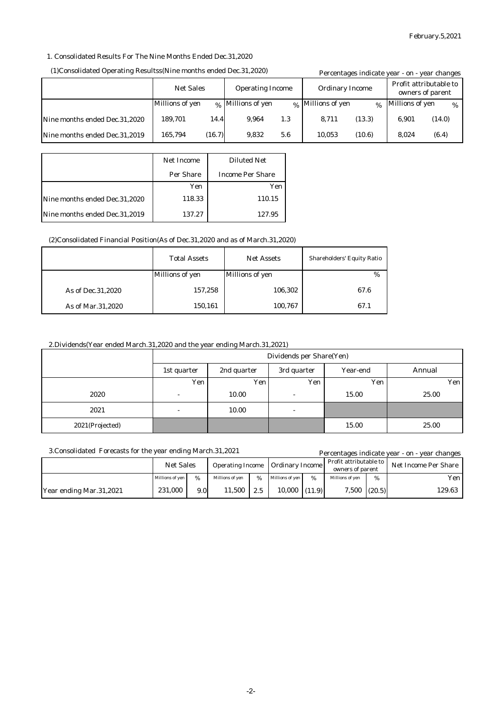#### 1. Consolidated Results For The Nine Months Ended Dec.31,2020

#### (1)Consolidated Operating Resultss(Nine months ended Dec.31,2020)

|                               | (1)Consolidated Operating Resultss(Nine months ended Dec.31,2020) |        |                   |                        | Percentages indicate year - on - year changes |               |                                            |        |
|-------------------------------|-------------------------------------------------------------------|--------|-------------------|------------------------|-----------------------------------------------|---------------|--------------------------------------------|--------|
|                               | <b>Net Sales</b><br><b>Operating Income</b>                       |        |                   | <b>Ordinary Income</b> |                                               |               | Profit attributable to<br>owners of parent |        |
|                               | Millions of yen                                                   |        | % Millions of yen |                        | % Millions of yen                             | $\frac{0}{6}$ | Millions of yen                            | $\%$   |
| Nine months ended Dec.31,2020 | 189.701                                                           | 14.4   | 9.964             | 1.3                    | 8.711                                         | (13.3)        | 6.901                                      | (14.0) |
| Nine months ended Dec.31,2019 | 165,794                                                           | (16.7) | 9.832             | 5.6                    | 10.053                                        | (10.6)        | 8.024                                      | (6.4)  |

|                               | <b>Net Income</b> | <b>Diluted Net</b>      |
|-------------------------------|-------------------|-------------------------|
|                               | Per Share         | <b>Income Per Share</b> |
|                               | Yen               | Yen                     |
| Nine months ended Dec.31,2020 | 118.33            | 110.15                  |
| Nine months ended Dec.31,2019 | 137.27            | 127.95                  |

#### (2)Consolidated Financial Position(As of Dec.31,2020 and as of March.31,2020)

|                     | <b>Total Assets</b>    | <b>Net Assets</b>      |      |
|---------------------|------------------------|------------------------|------|
|                     | <b>Millions of yen</b> | <b>Millions of yen</b> | $\%$ |
| As of Dec. 31, 2020 | 157,258                | 106,302                | 67.6 |
| As of Mar.31,2020   | 150,161                | 100,767                | 67.1 |

## 2.Dividends(Year ended March.31,2020 and the year ending March.31,2021)

|                 | Dividends per Share(Yen) |                                        |                          |       |       |  |  |
|-----------------|--------------------------|----------------------------------------|--------------------------|-------|-------|--|--|
|                 | 1st quarter              | 2nd quarter<br>Year-end<br>3rd quarter |                          |       |       |  |  |
|                 | Yen                      | Yen                                    | Yen                      | Yen   | Yen   |  |  |
| 2020            | $\overline{\phantom{a}}$ | 10.00                                  | $\overline{\phantom{a}}$ | 15.00 | 25.00 |  |  |
| 2021            | $\overline{\phantom{a}}$ | 10.00                                  | $\overline{\phantom{a}}$ |       |       |  |  |
| 2021(Projected) |                          |                                        |                          | 15.00 | 25.00 |  |  |

|  |  |  | 3. Consolidated Forecasts for the year ending March. 31, 2021 |
|--|--|--|---------------------------------------------------------------|
|--|--|--|---------------------------------------------------------------|

| 3. Consolidated Forecasts for the year ending March. 31, 2021 |                        |                  |                         |      |                        |   |                                            | Percentages indicate year - on - year changes |                      |
|---------------------------------------------------------------|------------------------|------------------|-------------------------|------|------------------------|---|--------------------------------------------|-----------------------------------------------|----------------------|
|                                                               | <b>Net Sales</b>       |                  | <b>Operating Income</b> |      | <b>Ordinary Income</b> |   | Profit attributable to<br>owners of parent |                                               | Net Income Per Share |
|                                                               | <b>Millions of ven</b> | %                | Millions of ven         | $\%$ | Millions of yen        | % | Millions of yen                            | %                                             | Yen l                |
| Year ending Mar.31,2021                                       | 231.000                | 9.0 <sub>l</sub> | 11.500                  | 2.5  | $10.000$ $(11.9)$      |   | $7,500$ $(20.5)$                           |                                               | 129.63               |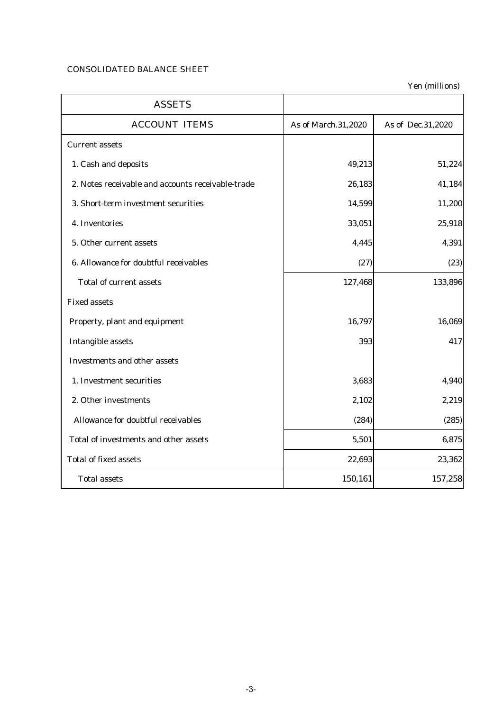# CONSOLIDATED BALANCE SHEET

| <b>ASSETS</b>                                     |                     |                   |
|---------------------------------------------------|---------------------|-------------------|
| <b>ACCOUNT ITEMS</b>                              | As of March.31,2020 | As of Dec.31,2020 |
| <b>Current assets</b>                             |                     |                   |
| 1. Cash and deposits                              | 49,213              | 51,224            |
| 2. Notes receivable and accounts receivable-trade | 26,183              | 41,184            |
| 3. Short-term investment securities               | 14,599              | 11,200            |
| 4. Inventories                                    | 33,051              | 25,918            |
| 5. Other current assets                           | 4,445               | 4,391             |
| 6. Allowance for doubtful receivables             | (27)                | (23)              |
| <b>Total of current assets</b>                    | 127,468             | 133,896           |
| <b>Fixed assets</b>                               |                     |                   |
| Property, plant and equipment                     | 16,797              | 16,069            |
| <b>Intangible assets</b>                          | 393                 | 417               |
| <b>Investments and other assets</b>               |                     |                   |
| 1. Investment securities                          | 3,683               | 4,940             |
| 2. Other investments                              | 2,102               | 2,219             |
| Allowance for doubtful receivables                | (284)               | (285)             |
| Total of investments and other assets             | 5,501               | 6,875             |
| <b>Total of fixed assets</b>                      | 22,693              | 23,362            |
| <b>Total assets</b>                               | 150,161             | 157,258           |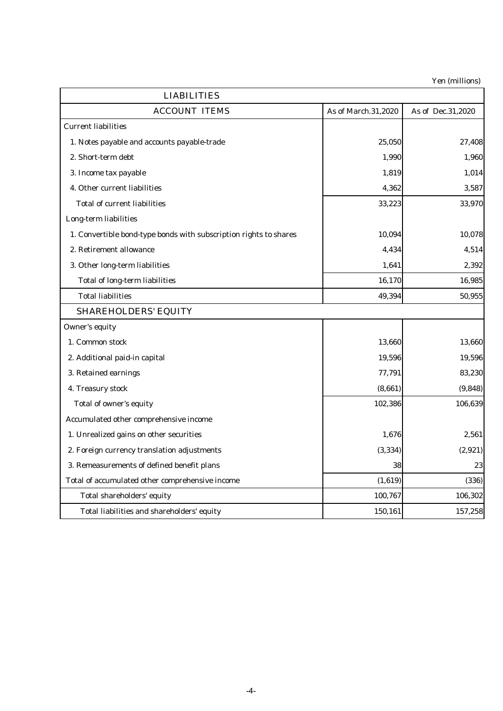| <b>LIABILITIES</b>                                                |                     |                   |  |  |  |
|-------------------------------------------------------------------|---------------------|-------------------|--|--|--|
| <b>ACCOUNT ITEMS</b>                                              | As of March.31,2020 | As of Dec.31,2020 |  |  |  |
| <b>Current liabilities</b>                                        |                     |                   |  |  |  |
| 1. Notes payable and accounts payable-trade                       | 25,050              | 27,408            |  |  |  |
| 2. Short-term debt                                                | 1,990               | 1,960             |  |  |  |
| 3. Income tax payable                                             | 1,819               | 1,014             |  |  |  |
| 4. Other current liabilities                                      | 4,362               | 3,587             |  |  |  |
| <b>Total of current liabilities</b>                               | 33,223              | 33,970            |  |  |  |
| Long-term liabilities                                             |                     |                   |  |  |  |
| 1. Convertible bond-type bonds with subscription rights to shares | 10,094              | 10,078            |  |  |  |
| 2. Retirement allowance                                           | 4,434               | 4,514             |  |  |  |
| 3. Other long-term liabilities                                    | 1,641               | 2,392             |  |  |  |
| <b>Total of long-term liabilities</b>                             | 16,170              | 16,985            |  |  |  |
| <b>Total liabilities</b>                                          | 49,394              | 50,955            |  |  |  |
| <b>SHAREHOLDERS' EQUITY</b>                                       |                     |                   |  |  |  |
| Owner's equity                                                    |                     |                   |  |  |  |
| 1. Common stock                                                   | 13,660              | 13,660            |  |  |  |
| 2. Additional paid-in capital                                     | 19,596              | 19,596            |  |  |  |
| 3. Retained earnings                                              | 77,791              | 83,230            |  |  |  |
| 4. Treasury stock                                                 | (8,661)             | (9,848)           |  |  |  |
| Total of owner's equity                                           | 102,386             | 106,639           |  |  |  |
| Accumulated other comprehensive income                            |                     |                   |  |  |  |
| 1. Unrealized gains on other securities                           | 1,676               | 2,561             |  |  |  |
| 2. Foreign currency translation adjustments                       | (3, 334)            | (2,921)           |  |  |  |
| 3. Remeasurements of defined benefit plans                        | 38                  | 23                |  |  |  |
| Total of accumulated other comprehensive income                   | (1,619)             | (336)             |  |  |  |
| Total shareholders' equity                                        | 100,767             | 106,302           |  |  |  |
| Total liabilities and shareholders' equity                        | 150,161             | 157,258           |  |  |  |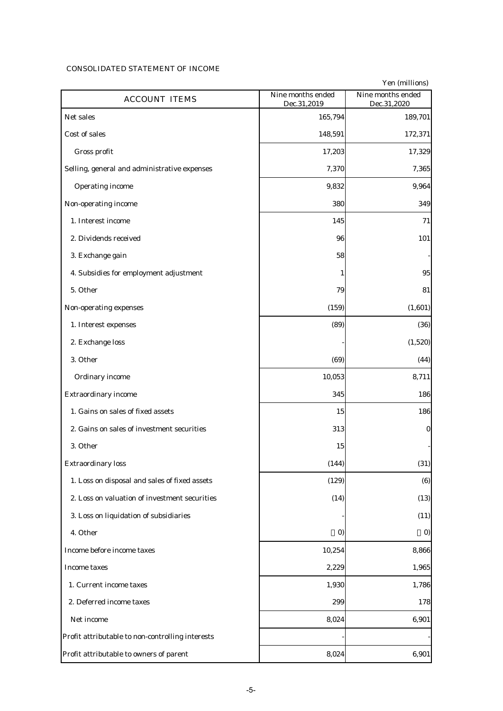## CONSOLIDATED STATEMENT OF INCOME

| <b>ACCOUNT ITEMS</b>                             | Nine months ended<br>Dec.31,2019 | Nine months ended<br>Dec.31,2020 |
|--------------------------------------------------|----------------------------------|----------------------------------|
| Net sales                                        | 165,794                          | 189,701                          |
| Cost of sales                                    | 148,591                          | 172,371                          |
| Gross profit                                     | 17,203                           | 17,329                           |
| Selling, general and administrative expenses     | 7,370                            | 7,365                            |
| <b>Operating income</b>                          | 9,832                            | 9,964                            |
| Non-operating income                             | 380                              | 349                              |
| 1. Interest income                               | 145                              | 71                               |
| 2. Dividends received                            | 96                               | 101                              |
| 3. Exchange gain                                 | 58                               |                                  |
| 4. Subsidies for employment adjustment           | 1                                | 95                               |
| 5. Other                                         | 79                               | 81                               |
| Non-operating expenses                           | (159)                            | (1,601)                          |
| 1. Interest expenses                             | (89)                             | (36)                             |
| 2. Exchange loss                                 |                                  | (1,520)                          |
| 3. Other                                         | (69)                             | (44)                             |
| Ordinary income                                  | 10,053                           | 8,711                            |
| <b>Extraordinary income</b>                      | 345                              | 186                              |
| 1. Gains on sales of fixed assets                | 15                               | 186                              |
| 2. Gains on sales of investment securities       | 313                              | $\bf{0}$                         |
| 3. Other                                         | 15                               |                                  |
| <b>Extraordinary loss</b>                        | (144)                            | (31)                             |
| 1. Loss on disposal and sales of fixed assets    | (129)                            | (6)                              |
| 2. Loss on valuation of investment securities    | (14)                             | (13)                             |
| 3. Loss on liquidation of subsidiaries           |                                  | (11)                             |
| 4. Other                                         | $\boldsymbol{0}$                 | $\boldsymbol{0}$                 |
| Income before income taxes                       | 10,254                           | 8,866                            |
| Income taxes                                     | 2,229                            | 1,965                            |
| 1. Current income taxes                          | 1,930                            | 1,786                            |
| 2. Deferred income taxes                         | 299                              | 178                              |
| Net income                                       | 8,024                            | 6,901                            |
| Profit attributable to non-controlling interests |                                  |                                  |
| Profit attributable to owners of parent          | 8,024                            | 6,901                            |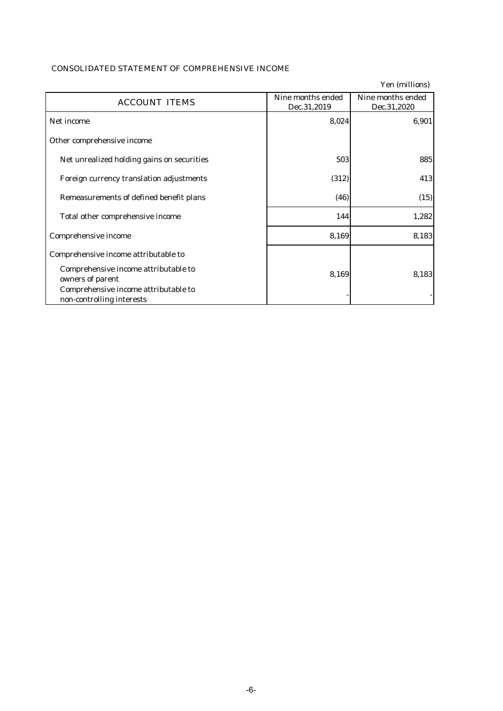|                                                                   |                                  | Yen (millions)                   |
|-------------------------------------------------------------------|----------------------------------|----------------------------------|
| <b>ACCOUNT ITEMS</b>                                              | Nine months ended<br>Dec.31,2019 | Nine months ended<br>Dec.31,2020 |
| Net income                                                        | 8,024                            | 6,901                            |
| Other comprehensive income                                        |                                  |                                  |
| Net unrealized holding gains on securities                        | 503                              | 885                              |
| Foreign currency translation adjustments                          | (312)                            | 413                              |
| Remeasurements of defined benefit plans                           | (46)                             | (15)                             |
| Total other comprehensive income                                  | 144                              | 1,282                            |
| Comprehensive income                                              | 8,169                            | 8,183                            |
| Comprehensive income attributable to                              |                                  |                                  |
| Comprehensive income attributable to<br>owners of parent          | 8,169                            | 8,183                            |
| Comprehensive income attributable to<br>non-controlling interests |                                  |                                  |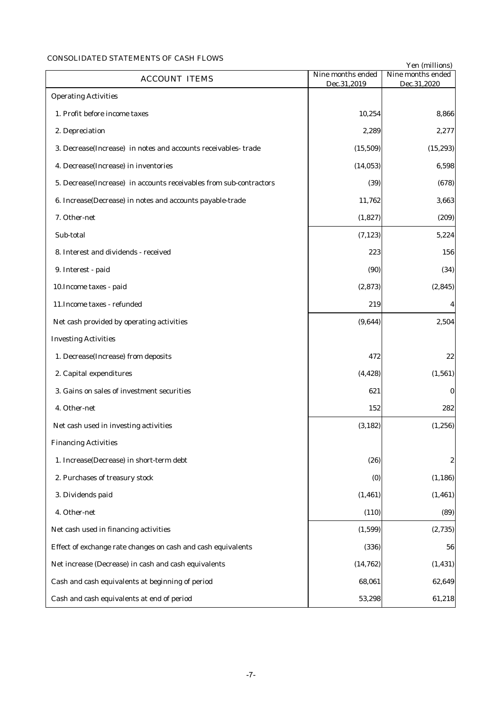# CONSOLIDATED STATEMENTS OF CASH FLOWS

|                                                                    |                                  | Yen (millions)                   |
|--------------------------------------------------------------------|----------------------------------|----------------------------------|
| <b>ACCOUNT ITEMS</b>                                               | Nine months ended<br>Dec.31,2019 | Nine months ended<br>Dec.31,2020 |
| <b>Operating Activities</b>                                        |                                  |                                  |
| 1. Profit before income taxes                                      | 10,254                           | 8,866                            |
| 2. Depreciation                                                    | 2,289                            | 2,277                            |
| 3. Decrease(Increase) in notes and accounts receivables-trade      | (15, 509)                        | (15, 293)                        |
| 4. Decrease(Increase) in inventories                               | (14, 053)                        | 6,598                            |
| 5. Decrease(Increase) in accounts receivables from sub-contractors | (39)                             | (678)                            |
| 6. Increase(Decrease) in notes and accounts payable-trade          | 11,762                           | 3,663                            |
| 7. Other-net                                                       | (1,827)                          | (209)                            |
| Sub-total                                                          | (7, 123)                         | 5,224                            |
| 8. Interest and dividends - received                               | 223                              | 156                              |
| 9. Interest - paid                                                 | (90)                             | (34)                             |
| 10. Income taxes - paid                                            | (2, 873)                         | (2, 845)                         |
| 11. Income taxes - refunded                                        | 219                              | $\boldsymbol{4}$                 |
| Net cash provided by operating activities                          | (9,644)                          | 2,504                            |
| <b>Investing Activities</b>                                        |                                  |                                  |
| 1. Decrease(Increase) from deposits                                | 472                              | 22                               |
| 2. Capital expenditures                                            | (4, 428)                         | (1, 561)                         |
| 3. Gains on sales of investment securities                         | 621                              | $\bf{0}$                         |
| 4. Other-net                                                       | 152                              | 282                              |
| Net cash used in investing activities                              | (3, 182)                         | (1, 256)                         |
| <b>Financing Activities</b>                                        |                                  |                                  |
| 1. Increase(Decrease) in short-term debt                           | (26)                             | $\boldsymbol{2}$                 |
| 2. Purchases of treasury stock                                     | (0)                              | (1, 186)                         |
| 3. Dividends paid                                                  | (1, 461)                         | (1, 461)                         |
| 4. Other-net                                                       | (110)                            | (89)                             |
| Net cash used in financing activities                              | (1, 599)                         | (2,735)                          |
| Effect of exchange rate changes on cash and cash equivalents       | (336)                            | 56                               |
| Net increase (Decrease) in cash and cash equivalents               | (14, 762)                        | (1, 431)                         |
| Cash and cash equivalents at beginning of period                   | 68,061                           | 62,649                           |
| Cash and cash equivalents at end of period                         | 53,298                           | 61,218                           |